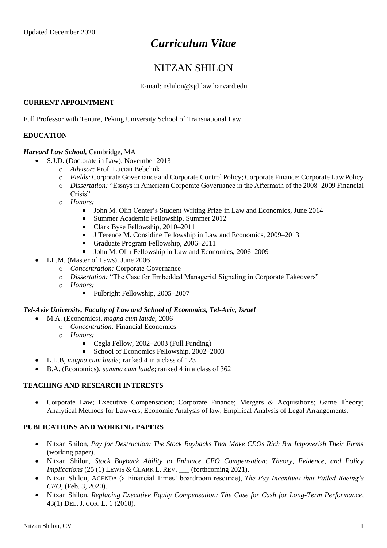# *Curriculum Vitae*

## NITZAN SHILON

E-mail: nshilon@sjd.law.harvard.edu

## **CURRENT APPOINTMENT**

Full Professor with Tenure, Peking University School of Transnational Law

## **EDUCATION**

## *Harvard Law School,* Cambridge, MA

- S.J.D. (Doctorate in Law), November 2013
	- o *Advisor:* Prof. Lucian Bebchuk
	- o *Fields:* Corporate Governance and Corporate Control Policy; Corporate Finance; Corporate Law Policy
	- o *Dissertation:* "Essays in American Corporate Governance in the Aftermath of the 2008–2009 Financial Crisis"
	- o *Honors:*
		- $\blacksquare$ John M. Olin Center's Student Writing Prize in Law and Economics, June 2014
		- Summer Academic Fellowship, Summer 2012
		- Clark Byse Fellowship, 2010–2011
		- J Terence M. Considine Fellowship in Law and Economics, 2009–2013  $\blacksquare$
		- Graduate Program Fellowship, 2006–2011
		- $\blacksquare$ John M. Olin Fellowship in Law and Economics, 2006–2009
- LL.M. (Master of Laws), June 2006
	- o *Concentration:* Corporate Governance
	- o *Dissertation:* "The Case for Embedded Managerial Signaling in Corporate Takeovers"
	- o *Honors:*
		- Fulbright Fellowship, 2005–2007

#### *Tel-Aviv University, Faculty of Law and School of Economics, Tel-Aviv, Israel*

- M.A. (Economics), *magna cum laude,* 2006
	- o *Concentration:* Financial Economics
		- o *Honors:*
			- Cegla Fellow, 2002–2003 (Full Funding)
			- $\blacksquare$ School of Economics Fellowship, 2002–2003
	- L.L.B, *magna cum laude;* ranked 4 in a class of 123
- B.A. (Economics), *summa cum laude*; ranked 4 in a class of 362

## **TEACHING AND RESEARCH INTERESTS**

• Corporate Law; Executive Compensation; Corporate Finance; Mergers & Acquisitions; Game Theory; Analytical Methods for Lawyers; Economic Analysis of law; Empirical Analysis of Legal Arrangements.

## **PUBLICATIONS AND WORKING PAPERS**

- Nitzan Shilon, *Pay for Destruction: The Stock Buybacks That Make CEOs Rich But Impoverish Their Firms* (working paper).
- Nitzan Shilon, *Stock Buyback Ability to Enhance CEO Compensation: Theory, Evidence, and Policy Implications* (25 (1) LEWIS & CLARK L. REV. \_\_\_ (forthcoming 2021).
- Nitzan Shilon, AGENDA (a Financial Times' boardroom resource), *The Pay Incentives that Failed Boeing's CEO*, (Feb. 3, 2020).
- Nitzan Shilon, *Replacing Executive Equity Compensation: The Case for Cash for Long-Term Performance*, 43(1) DEL. J. COR. L. 1 (2018)*.*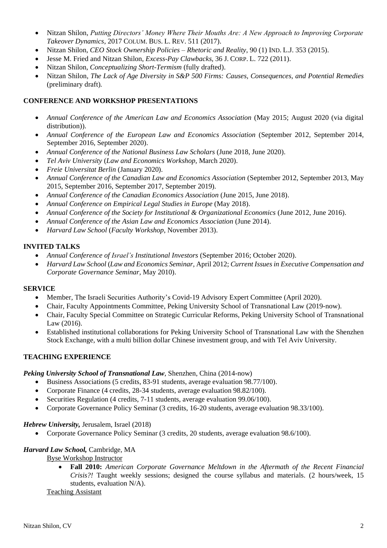- Nitzan Shilon, *Putting Directors' Money Where Their Mouths Are: A New Approach to Improving Corporate Takeover Dynamics*, 2017 COLUM. BUS. L. REV. 511 (2017).
- Nitzan Shilon, *CEO Stock Ownership Policies – Rhetoric and Reality*, 90 (1) IND. L.J. 353 (2015).
- Jesse M. Fried and Nitzan Shilon, *Excess-Pay Clawbacks,* 36 J. CORP. L. 722 (2011).
- Nitzan Shilon, *Conceptualizing Short-Termism* (fully drafted).
- Nitzan Shilon, *The Lack of Age Diversity in S&P 500 Firms: Causes, Consequences, and Potential Remedies* (preliminary draft)*.*

## **CONFERENCE AND WORKSHOP PRESENTATIONS**

- *Annual Conference of the American Law and Economics Association* (May 2015; August 2020 (via digital distribution)).
- *Annual Conference of the European Law and Economics Association* (September 2012, September 2014, September 2016, September 2020).
- *Annual Conference of the National Business Law Scholars* (June 2018, June 2020).
- *Tel Aviv University* (*Law and Economics Workshop,* March 2020).
- *Freie Universitat Berlin* (January 2020).
- *Annual Conference of the Canadian Law and Economics Association* (September 2012, September 2013, May 2015, September 2016, September 2017, September 2019).
- *Annual Conference of the Canadian Economics Association* (June 2015, June 2018).
- *Annual Conference on Empirical Legal Studies in Europe* (May 2018).
- *Annual Conference of the Society for Institutional & Organizational Economics* (June 2012, June 2016).
- *Annual Conference of the Asian Law and Economics Association* (June 2014).
- *Harvard Law School* (*Faculty Workshop*, November 2013).

## **INVITED TALKS**

- *Annual Conference of Israel's Institutional Investors* (September 2016; October 2020).
- *Harvard Law School* (*Law and Economics Seminar,* April 2012; *Current Issues in Executive Compensation and Corporate Governance Seminar,* May 2010).

## **SERVICE**

- Member, The Israeli Securities Authority's Covid-19 Advisory Expert Committee (April 2020).
- Chair, Faculty Appointments Committee, Peking University School of Transnational Law (2019-now).
- Chair, Faculty Special Committee on Strategic Curricular Reforms, Peking University School of Transnational Law (2016).
- Established institutional collaborations for Peking University School of Transnational Law with the Shenzhen Stock Exchange, with a multi billion dollar Chinese investment group, and with Tel Aviv University.

## **TEACHING EXPERIENCE**

## *Peking University School of Transnational Law*, Shenzhen, China (2014-now)

- Business Associations (5 credits, 83-91 students, average evaluation 98.77/100).
- Corporate Finance (4 credits, 28-34 students, average evaluation 98.82/100).
- Securities Regulation (4 credits, 7-11 students, average evaluation 99.06/100).
- Corporate Governance Policy Seminar (3 credits, 16-20 students, average evaluation 98.33/100).

## *Hebrew University,* Jerusalem, Israel (2018)

• Corporate Governance Policy Seminar (3 credits, 20 students, average evaluation 98.6/100).

## *Harvard Law School,* Cambridge, MA

## Byse Workshop Instructor

• **Fall 2010:** *American Corporate Governance Meltdown in the Aftermath of the Recent Financial Crisis?!* Taught weekly sessions; designed the course syllabus and materials. (2 hours/week, 15 students, evaluation N/A).

## Teaching Assistant